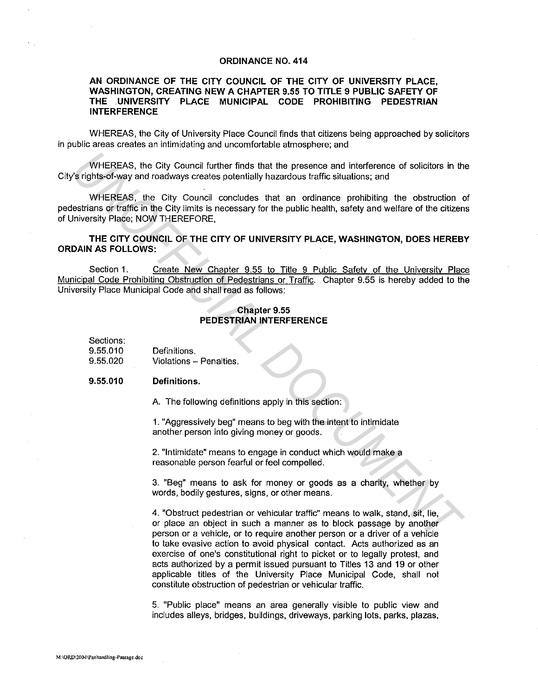## ORDINANCE NO. 414

## AN ORDINANCE OF THE CITY COUNCIL OF THE CITY OF UNIVERSITY PLACE, WASHINGTON, CREATING NEW A CHAPTER 9.55 TO TITLE 9 PUBLIC SAFETY OF THE UNIVERSITY PLACE MUNICIPAL CODE PROHIBITING PEDESTRIAN INTERFERENCE

WHEREAS, the City of University Place Council finds that citizens being approached by solicitors in public areas creates an intimidating and uncomfortable atmosphere; and

WHEREAS, the City Council further finds that the presence and interference of solicitors in the City's rights-of-way and roadways creates potentially hazardous traffic situations; and

WHEREAS, the City Council concludes that an ordinance prohibiting the obstruction of pedestrians or traffic in the City limits is necessary for the public health, safety and welfare of the citizens of University Place; NOW THEREFORE, WHEREAS, the City Council further finds that the presence and interference of solicitors in the<br> **V** of rights-of-way and roadways creates potentially hazardous traffic situations; and<br>
UNEIREAS, the City Council concludes

THE CITY COUNCIL OF THE CITY OF UNIVERSITY PLACE, WASHINGTON, DOES HEREBY ORDAIN AS FOLLOWS:

Section 1. Create New Chapter 9.55 to Title 9 Public Safety of the University Place Municipal Code Prohibiting Obstruction of Pedestrians or Traffic. Chapter 9.55 is hereby added to the University Place Municipal Code and shall read as follows:

## Chapter 9.55 PEDESTRIAN INTERFERENCE

Sections:

9.55.010 Definitions.

9.55.020 Violations - Penalties.

## 9.55.010 Definitions.

A. The following definitions apply in this section:

1. "Aggressively beg" means to beg with the intent to intimidate another person into giving money or goods.

2. "Intimidate" means to engage in conduct which would make a reasonable person fearful or feel compelled.

3. "Beg" means to ask for money or goods as a charity, whether by words, bodily gestures, signs, or other means.

4. "Obstruct pedestrian or vehicular traffic" means to walk, stand, sit, lie, or place an object in such a manner as to block passage by another person or a vehicle, or to require another person or a driver of a vehicle to take evasive action to avoid physical contact. Acts authorized as an exercise of one's constitutional right to picket or to legally protest, and acts authorized by a permit issued pursuant to Titles 13 and 19 or other applicable titles of the University Place Municipal Code, shall not constitute obstruction of pedestrian or vehicular traffic.

5. "Public place" means an area generally visible to public view and includes alleys, bridges, buildings, driveways, parking lots, parks, plazas,